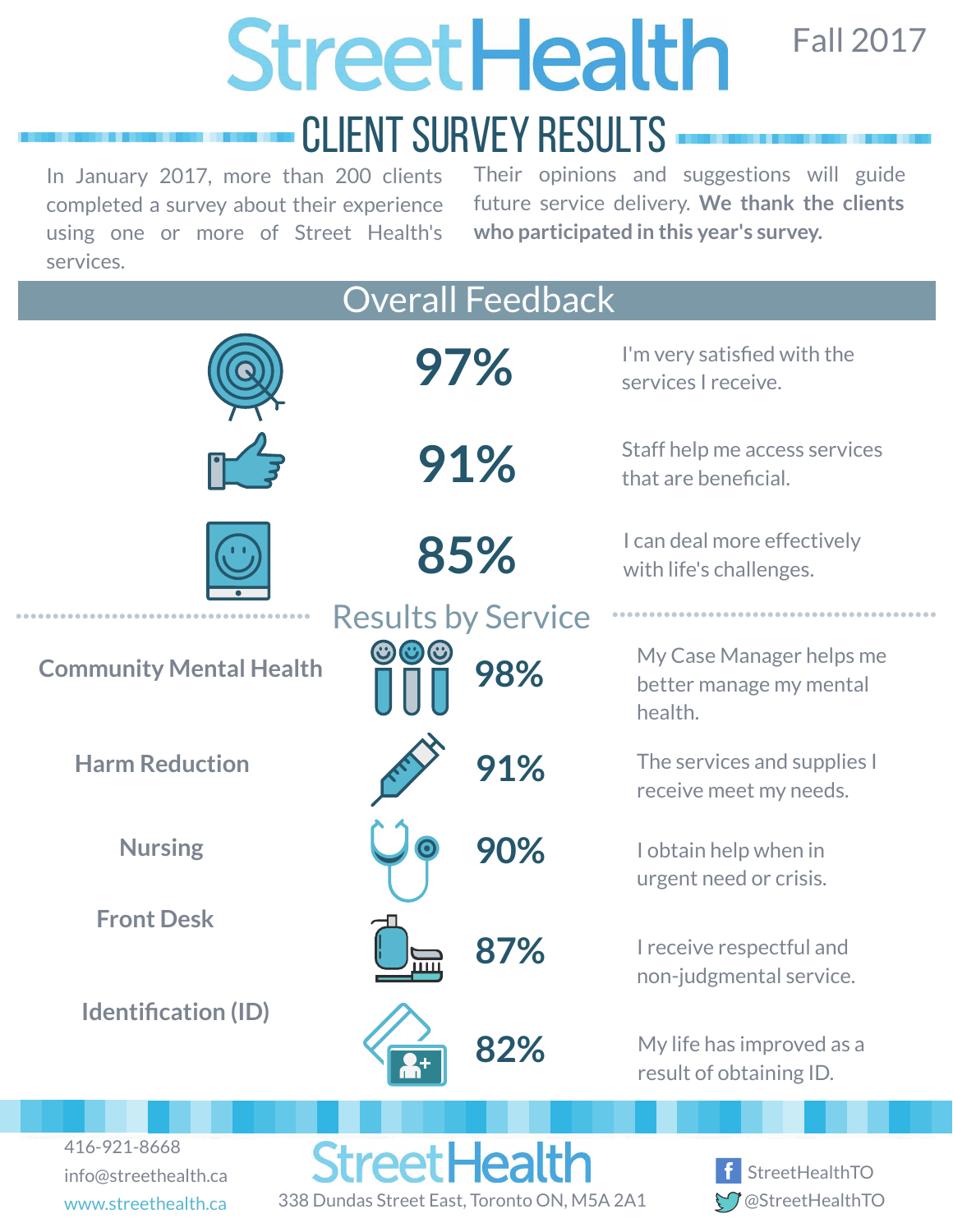Fall 2017

f StreetHealthTO **M**@StreetHealthTO

# **StreetHealth**

# Client Survey Results

In January 2017, more than 200 clients completed a survey about their experience using one or more of Street Health's services.

info@streethealth.ca

www.streethealth.ca 338 Dundas Street East, Toronto ON, M5A 2A1

Their opinions and suggestions will guide future service delivery. **We thank the clients who participated in this year's survey.**

| <b>Overall Feedback</b>                        |                           |                                                                |
|------------------------------------------------|---------------------------|----------------------------------------------------------------|
|                                                | 97%                       | I'm very satisfied with the<br>services I receive.             |
|                                                | 91%                       | Staff help me access services<br>that are beneficial.          |
|                                                | 85%                       | I can deal more effectively<br>with life's challenges.         |
|                                                | <b>Results by Service</b> |                                                                |
| <b>Community Mental Health</b>                 | 98%                       | My Case Manager helps me<br>better manage my mental<br>health. |
| <b>Harm Reduction</b>                          | 91%                       | The services and supplies I<br>receive meet my needs.          |
| <b>Nursing</b>                                 | 90%                       | I obtain help when in<br>urgent need or crisis.                |
| <b>Front Desk</b>                              | ш                         | I receive respectful and<br>non-judgmental service.            |
| <b>Identification (ID)</b>                     | 82%                       | My life has improved as a<br>result of obtaining ID.           |
|                                                |                           |                                                                |
| 416-921-8668<br>$inf0$ $left0$ $left1$ $left2$ | <b>StreetHealth</b>       | f StreetHealthTO                                               |